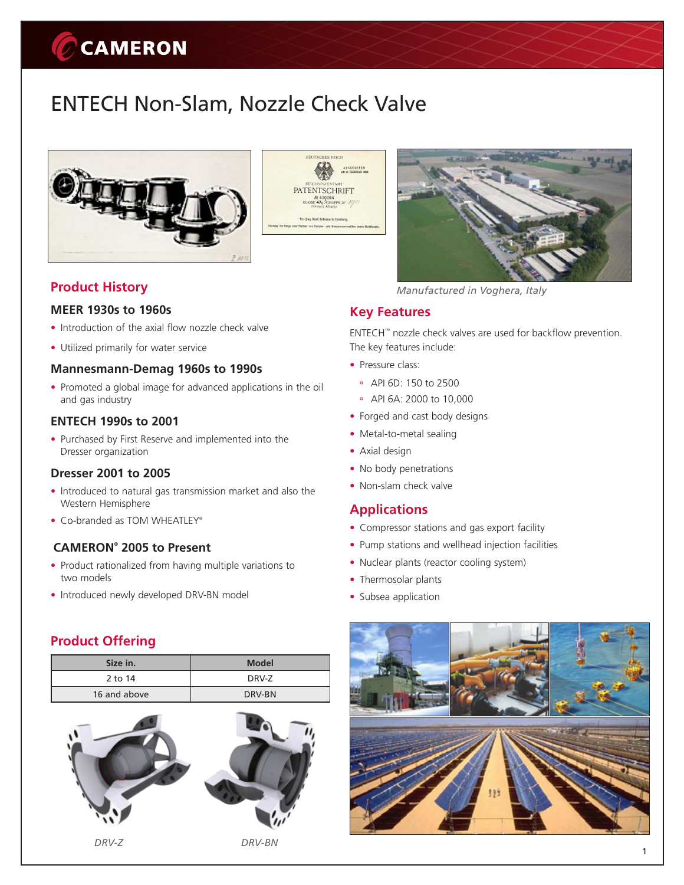# CCAMERON

# ENTECH Non-Slam, Nozzle Check Valve





# **Product History**

#### **MEER 1930s to 1960s**

- Introduction of the axial flow nozzle check valve
- • Utilized primarily for water service

#### **Mannesmann-Demag 1960s to 1990s**

• Promoted a global image for advanced applications in the oil and gas industry

#### **ENTECH 1990s to 2001**

• Purchased by First Reserve and implemented into the Dresser organization

### **Dresser 2001 to 2005**

- Introduced to natural gas transmission market and also the Western Hemisphere
- Co-branded as TOM WHEATLEY®

#### **CAMERON® 2005 to Present**

- Product rationalized from having multiple variations to two models
- Introduced newly developed DRV-BN model

# **Product Offering**

| Size in.     | <b>Model</b> |  |
|--------------|--------------|--|
| 2 to 14      | DRV-Z        |  |
| 16 and above | DRV-BN       |  |





*Manufactured in Voghera, Italy*

### **Key Features**

ENTECH™ nozzle check valves are used for backflow prevention. The key features include:

- Pressure class:
	- API 6D: 150 to 2500
	- API 6A: 2000 to 10,000
- Forged and cast body designs
- Metal-to-metal sealing
- Axial design
- No body penetrations
- Non-slam check valve

### **Applications**

- Compressor stations and gas export facility
- Pump stations and wellhead injection facilities
- Nuclear plants (reactor cooling system)
- Thermosolar plants
- Subsea application



1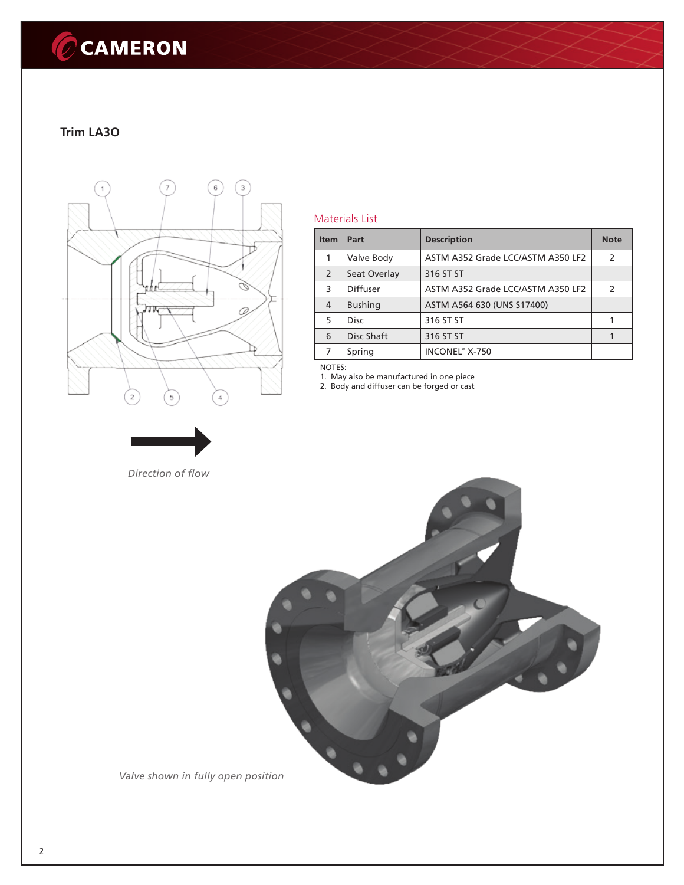# CCAMERON

### **Trim LA3O**



*Direction of flow*

#### Materials List

| <b>Item</b> | Part            | <b>Description</b>                | <b>Note</b>   |
|-------------|-----------------|-----------------------------------|---------------|
|             | Valve Body      | ASTM A352 Grade LCC/ASTM A350 LF2 | $\mathcal{L}$ |
| 2           | Seat Overlay    | 316 ST ST                         |               |
| 3           | <b>Diffuser</b> | ASTM A352 Grade LCC/ASTM A350 LF2 | $\mathcal{L}$ |
| 4           | <b>Bushing</b>  | ASTM A564 630 (UNS S17400)        |               |
| 5           | <b>Disc</b>     | 316 ST ST                         |               |
| 6           | Disc Shaft      | 316 ST ST                         |               |
| 7           | Spring          | INCONEL® X-750                    |               |

NOTES:

1. May also be manufactured in one piece

2. Body and diffuser can be forged or cast



*Valve shown in fully open position*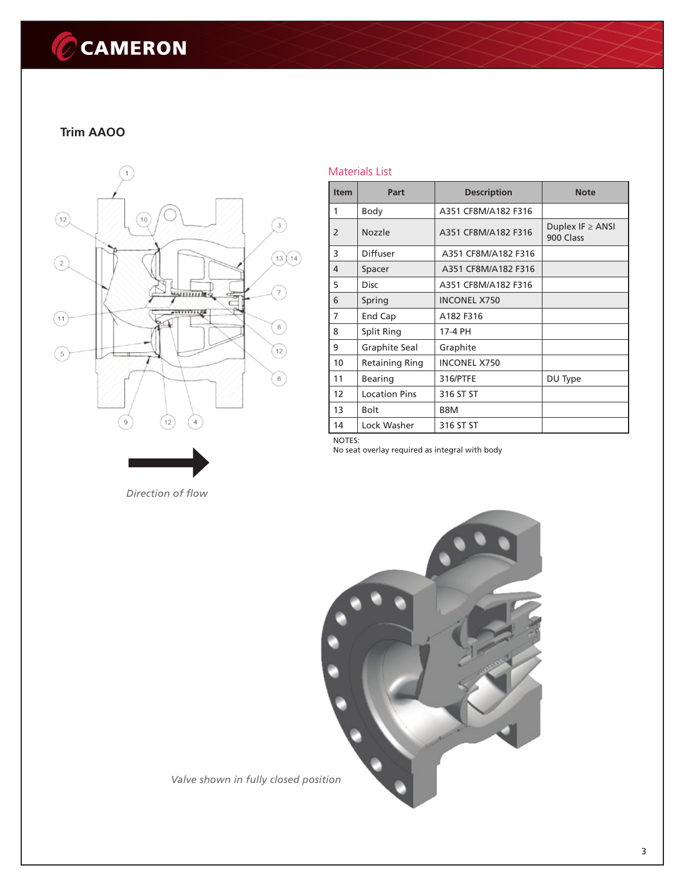# CCAMERON

# **Trim AAOO**



*Direction of flow*

#### Materials List

| <b>Item</b>   | Part                 | <b>Description</b>  | <b>Note</b>                        |
|---------------|----------------------|---------------------|------------------------------------|
| 1             | Body                 | A351 CF8M/A182 F316 |                                    |
| $\mathcal{P}$ | Nozzle               | A351 CF8M/A182 F316 | Duplex IF $\geq$ ANSI<br>900 Class |
| 3             | Diffuser             | A351 CF8M/A182 F316 |                                    |
| 4             | Spacer               | A351 CF8M/A182 F316 |                                    |
| 5             | <b>Disc</b>          | A351 CF8M/A182 F316 |                                    |
| 6             | Spring               | <b>INCONEL X750</b> |                                    |
| 7             | End Cap              | A182 F316           |                                    |
| 8             | Split Ring           | 17-4 PH             |                                    |
| 9             | Graphite Seal        | Graphite            |                                    |
| 10            | Retaining Ring       | <b>INCONEL X750</b> |                                    |
| 11            | <b>Bearing</b>       | 316/PTFE            | DU Type                            |
| 12            | <b>Location Pins</b> | 316 ST ST           |                                    |
| 13            | <b>Bolt</b>          | B8M                 |                                    |
| 14            | Lock Washer          | 316 ST ST           |                                    |

NOTES:

No seat overlay required as integral with body



*Valve shown in fully closed position*